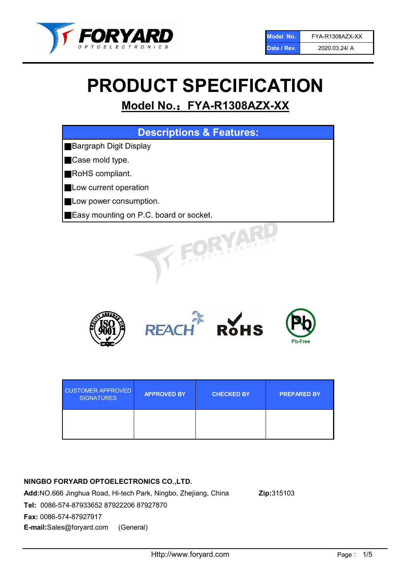

# PRODUCT SPECIFICATION

# Model No.: FYA-R1308AZX-XX





| <b>CUSTOMER APPROVED</b><br><b>SIGNATURES</b> | <b>APPROVED BY</b> | <b>CHECKED BY</b> | <b>PREPARED BY</b> |
|-----------------------------------------------|--------------------|-------------------|--------------------|
|                                               |                    |                   |                    |

# NINGBO FORYARD OPTOELECTRONICS CO.,LTD.

Add:NO.666 Jinghua Road, Hi-tech Park, Ningbo, Zhejiang, China Zip:315103 Tel: 0086-574-87933652 87922206 87927870 Fax: 0086-574-87927917 E-mail:Sales@foryard.com (General)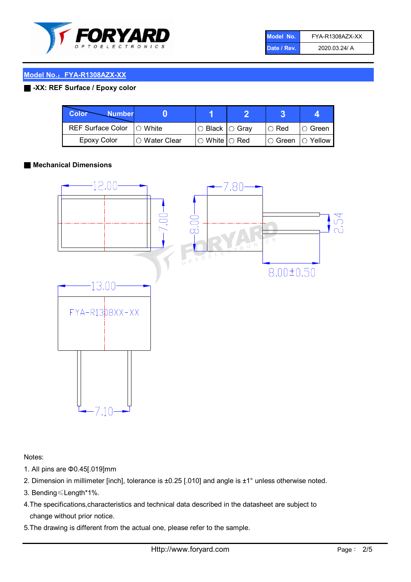

| Model No.   | FYA-R1308AZX-XX |
|-------------|-----------------|
| Date / Rev. | 2020.03.24/ A   |

## Model No.: FYA-R1308AZX-XX

# ■ -XX: REF Surface / Epoxy color

| Color<br><b>Number</b>     |                        |                            |          |                |
|----------------------------|------------------------|----------------------------|----------|----------------|
| REF Surface Color  ○ White |                        | $\circ$ Black $\circ$ Gray | I⊖ Red   | IO Green i     |
| Epoxy Color                | $\bigcirc$ Water Clear | $\circ$ White $\circ$ Red  | I⊖ Green | $\circ$ Yellow |

#### ■ Mechanical Dimensions



Notes:

- 1. All pins are Φ0.45[.019]mm
- 2. Dimension in millimeter [inch], tolerance is ±0.25 [.010] and angle is ±1° unless otherwise noted.
- 3. Bending≤Length\*1%.
- 4.The specifications,characteristics and technical data described in the datasheet are subject to change without prior notice.
- 5.The drawing is different from the actual one, please refer to the sample.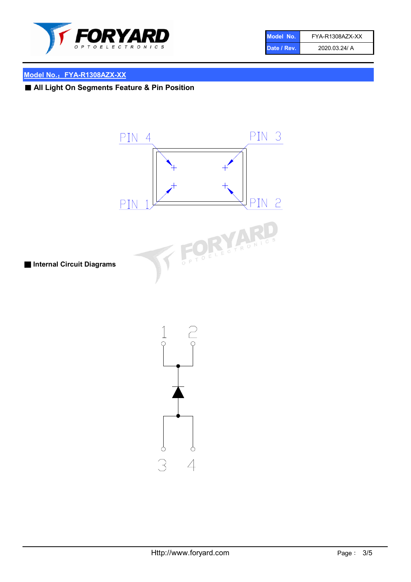

| Model No.   | FYA-R1308AZX-XX |
|-------------|-----------------|
| Date / Rev. | 2020.03.24/ A   |

# Model No.: FYA-R1308AZX-XX

■ All Light On Segments Feature & Pin Position



 $\varphi$ 

 $\overline{4}$ 

 $\varphi$ 

3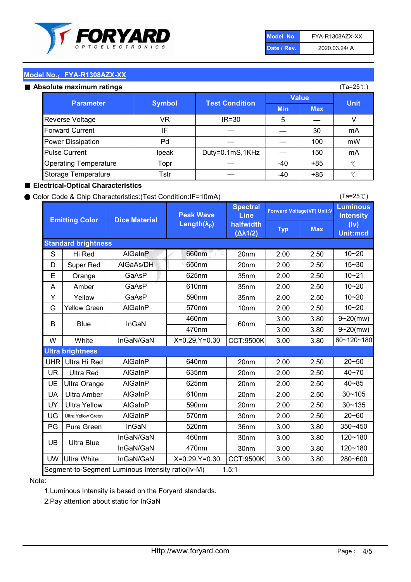

| Model No.   | FYA-R1308AZX-XX |
|-------------|-----------------|
| Date / Rev. | 2020.03.24/ A   |

(Ta=25℃)

# Model No.: FYA-R1308AZX-XX

| Absolute maximum ratings     |               |                       | (Ta=25℃)     |            |                     |
|------------------------------|---------------|-----------------------|--------------|------------|---------------------|
| <b>Parameter</b>             | <b>Symbol</b> | <b>Test Condition</b> | <b>Value</b> |            | <b>Unit</b>         |
|                              |               |                       | <b>Min</b>   | <b>Max</b> |                     |
| Reverse Voltage              | VR            | $IR = 30$             | 5            |            |                     |
| <b>Forward Current</b>       | IF            |                       |              | 30         | mA                  |
| Power Dissipation            | Pd            |                       |              | 100        | mW                  |
| <b>Pulse Current</b>         | Ipeak         | Duty=0.1mS,1KHz       |              | 150        | mA                  |
| <b>Operating Temperature</b> | Topr          |                       | $-40$        | $+85$      | °C                  |
| Storage Temperature          | Tstr          |                       | $-40$        | $+85$      | $^{\circ}\!{\rm C}$ |

#### ■ Electrical-Optical Characteristics

#### ● Color Code & Chip Characteristics:(Test Condition:IF=10mA)

Typ Max S | Hi $\textsf{Red}$  | AlGaInP | 660nm LE 20nm | 2.00 | 2.50 D | Super Red | AIGaAs/DH | 650nm | 20nm | 2.00 | 2.50 E | Orange | GaAsP | 625nm | 35nm | 2.00 | 2.50 A | Amber | GaAsP | 610nm | 35nm | 2.00 | 2.50 Y | Yellow | GaAsP | 590nm | 35nm | 2.00 | 2.50 G Yellow Green AIGaInP | 570nm | 10nm | 2.00 | 2.50 3.00 3.80 3.00 3.80 W | White | InGaN/GaN | X=0.29,Y=0.30 |CCT:9500K| 3.00 | 3.80 UHR Ultra Hi Red  $\vert$  AIGaInP  $\vert$  640nm  $\vert$  20nm  $\vert$  2.00  $\vert$  2.50 UR | Ultra Red | AlGaInP | 635nm | 20nm | 2.00 | 2.50 UE Ultra Orange | AIGaInP | 625nm | 20nm | 2.00 | 2.50 UA Ultra Amber | AIGaInP | 610nm | 20nm | 2.00 | 2.50  $UV$  Ultra Yellow  $\vert$  AlGaInP  $\vert$  590nm  $\vert$  20nm  $\vert$  2.00  $\vert$  2.50  $\text{UG}$  Ultra Yellow Green | AIGaInP | 570nm | 30nm | 2.00 | 2.50 PG Pure Green | InGaN | 520nm | 36nm | 3.00 | 3.80 30nm 3.00 3.80 30nm 3.00 3.80 UW |Ultra White | InGaN/GaN | X=0.29,Y=0.30 |CCT:9500K| 3.00 | 3.80 40~85 60~120~180 40~70 Segment-to-Segment Luminous Intensity ratio(Iv-M) 1.5:1 610nm 9~20(mw) 350~450 470nm 120~180 120~180 Ultra Blue InGaN/GaN InGaN/GaN 9~20(mw) 20~50 280~600 570nm | 30nm | 2.00 | 2.50 | 20~60 470nm 590nm InGaN/GaN B Blue I InGaN 570nm | 10nm | 2.00 | 2.50 | 10~20 30~105 30~135 460nm 520nm Ultra brightness **AlGaInP** AlGaInP 60nm AlGaInP 640nm Peak Wave Length $(\lambda_{\rm P})$ UB 460nm 635nm AlGaInP AlGaInP AlGaInP InGaN/GaN AlGaInP Luminous **Intensity** (Iv) Unit:mcd AlGainP 660nm GaAsP GaAsP AlGaAs/DH **Spectral** Line halfwidth (∆λ1/2) 10~20 Standard brightness Forward Voltage(VF) Unit:V 15~30 10~20 10~20 625nm GaAsP 590nm **Emitting Color Dice Material** 10~21 610nm

#### Note:

1.Luminous Intensity is based on the Foryard standards.

2.Pay attention about static for InGaN